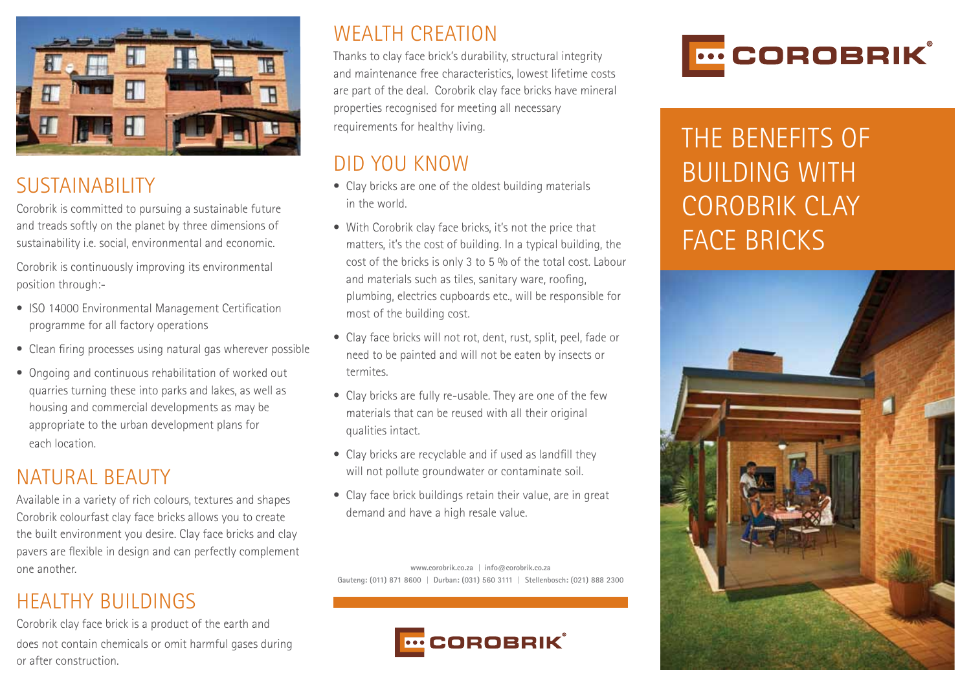

## SUSTAINABILITY

Corobrik is committed to pursuing a sustainable future and treads softly on the planet by three dimensions of sustainability i.e. social, environmental and economic.

Corobrik is continuously improving its environmental position through:-

- ISO 14000 Environmental Management Certification programme for all factory operations
- Clean firing processes using natural gas wherever possible
- Ongoing and continuous rehabilitation of worked out quarries turning these into parks and lakes, as well as housing and commercial developments as may be appropriate to the urban development plans for each location.

## NATURAL BEAUTY

Available in a variety of rich colours, textures and shapes Corobrik colourfast clay face bricks allows you to create the built environment you desire. Clay face bricks and clay pavers are flexible in design and can perfectly complement one another.

#### HEALTHY BUILDINGS

Corobrik clay face brick is a product of the earth and does not contain chemicals or omit harmful gases during or after construction.

## WEALTH CREATION

Thanks to clay face brick's durability, structural integrity and maintenance free characteristics, lowest lifetime costs are part of the deal. Corobrik clay face bricks have mineral properties recognised for meeting all necessary requirements for healthy living.

## DID YOU KNOW

- Clay bricks are one of the oldest building materials in the world.
- With Corobrik clay face bricks, it's not the price that matters, it's the cost of building. In a typical building, the cost of the bricks is only 3 to 5 % of the total cost. Labour and materials such as tiles, sanitary ware, roofing, plumbing, electrics cupboards etc., will be responsible for most of the building cost.
- Clay face bricks will not rot, dent, rust, split, peel, fade or need to be painted and will not be eaten by insects or termites.
- Clay bricks are fully re-usable. They are one of the few materials that can be reused with all their original qualities intact.
- Clay bricks are recyclable and if used as landfill they will not pollute groundwater or contaminate soil.
- Clay face brick buildings retain their value, are in great demand and have a high resale value.

**www.corobrik.co.za** | **info@corobrik.co.za Gauteng: (011) 871 8600** | **Durban: (031) 560 3111** | **Stellenbosch: (021) 888 2300**





# THE BENEFITS OF BUILDING WITH COROBRIK CLAY FACE BRICKS